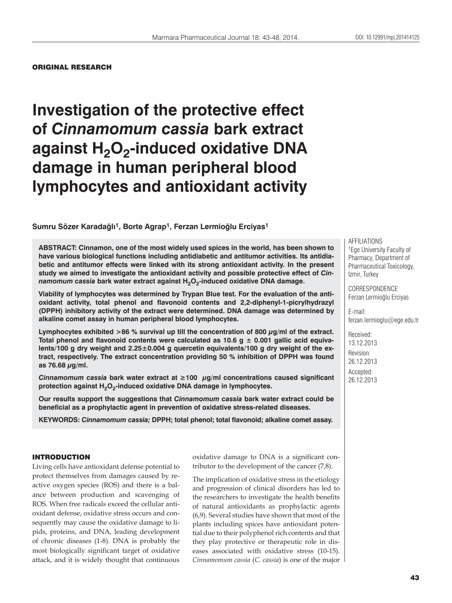#### DOI: 10.12991/mpj.201414125 DOI: 10.12991/201414125

### ORIGINAL RESEARCH

# **Investigation of the protective effect of** *Cinnamomum cassia* **bark extract**  against H<sub>2</sub>O<sub>2</sub>-induced oxidative DNA **damage in human peripheral blood lymphocytes and antioxidant activity**

## **Sumru Sözer Karadağlı1, Borte Agrap1, Ferzan Lermioğlu Erciyas1**

**ABSTRACT: Cinnamon, one of the most widely used spices in the world, has been shown to have various biological functions including antidiabetic and antitumor activities. Its antidiabetic and antitumor effects were linked with its strong antioxidant activity. In the present study we aimed to investigate the antioxidant activity and possible protective effect of** *Cinnamomum cassia bark water extract against H<sub>2</sub>O<sub>2</sub>-induced oxidative DNA damage.* 

**Viability of lymphocytes was determined by Trypan Blue test. For the evaluation of the antioxidant activity, total phenol and flavonoid contents and 2,2-diphenyl-1-picrylhydrazyl (DPPH) inhibitory activity of the extract were determined. DNA damage was determined by alkaline comet assay in human peripheral blood lymphocytes.** 

**Lymphocytes exhibited >86 % survival up till the concentration of 800 μg/ml of the extract. Total phenol and flavonoid contents were calculated as 10.6 g ± 0.001 gallic acid equivalents/100 g dry weight and 2.25±0.004 g quercetin equivalents/100 g dry weight of the extract, respectively. The extract concentration providing 50 % inhibition of DPPH was found as 76.68 μg/ml.** 

*Cinnamomum cassia* **bark water extract at ≥100 μg/ml concentrations caused significant**  protection against H<sub>2</sub>O<sub>2</sub>-induced oxidative DNA damage in lymphocytes.

**Our results support the suggestions that** *Cinnamomum cassia* **bark water extract could be beneficial as a prophylactic agent in prevention of oxidative stress-related diseases.**

**KEYWORDS:** *Cinnamomum cassia;* **DPPH; total phenol; total flavonoid; alkaline comet assay.**

#### INTRODUCTION

Living cells have antioxidant defense potential to protect themselves from damages caused by reactive oxygen species (ROS) and there is a balance between production and scavenging of ROS. When free radicals exceed the cellular antioxidant defense, oxidative stress occurs and consequently may cause the oxidative damage to lipids, proteins, and DNA, leading development of chronic diseases (1-8). DNA is probably the most biologically significant target of oxidative attack, and it is widely thought that continuous oxidative damage to DNA is a significant contributor to the development of the cancer (7,8).

The implication of oxidative stress in the etiology and progression of clinical disorders has led to the researchers to investigate the health benefits of natural antioxidants as prophylactic agents (6,9). Several studies have shown that most of the plants including spices have antioxidant potential due to their polyphenol rich contents and that they play protective or therapeutic role in diseases associated with oxidative stress (10-15). *Cinnamomum cassia* (*C. cassia*) is one of the major

AFFILIATIONS 1Ege University Faculty of Pharmacy, Department of Pharmaceutical Toxicology, Izmir, Turkey

CORRESPONDENCE Ferzan Lermioğlu Erciyas

E-mail: ferzan.lermioglu@ege.edu.tr

Received: 13.12.2013 Revision: 26.12.2013 Accepted: 26.12.2013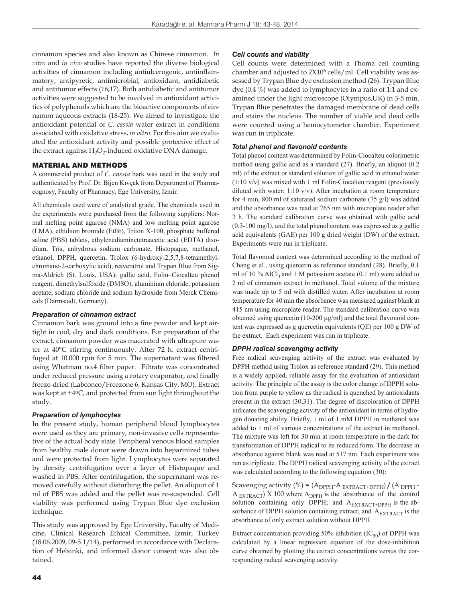cinnamon species and also known as Chinese cinnamon. *In vitro* and *in vivo* studies have reported the diverse biological activities of cinnamon including antiulcerogenic, antiinflammatory, antipyretic, antimicrobial, antioxidant, antidiabetic and antitumor effects (16,17). Both antidiabetic and antitumor activities were suggested to be involved in antioxidant activities of polyphenols which are the bioactive components of cinnamon aqueous extracts (18-25). We aimed to investigate the antioxidant potential of *C. cassia* water extract in conditions associated with oxidative stress, *in vitro*. For this aim we evaluated the antioxidant activity and possible protective effect of the extract against  $H_2O_2$ -induced oxidative DNA damage.

## MATERIAL AND METHODS

A commercial product of *C. cassia* bark was used in the study and authenticated by Prof. Dr. Bijen Kıvçak from Department of Pharmacognosy, Faculty of Pharmacy, Ege University, Izmir.

All chemicals used were of analytical grade. The chemicals used in the experiments were purchased from the following suppliers: Normal melting point agarose (NMA) and low melting point agarose (LMA), ethidium bromide (EtBr), Triton X-100, phosphate buffered saline (PBS) tablets, ethylenediaminetetraacetic acid (EDTA) disodium, Tris, anhydrous sodium carbonate, Histopaque, methanol, ethanol, DPPH, quercetin, Trolox (6-hydroxy-2,5,7,8-tetramethylchromane-2-carboxylic acid), resveratrol and Trypan Blue from Sigma-Aldrich (St. Louis, USA); gallic acid, Folin–Ciocalteu phenol reagent, dimethylsulfoxide (DMSO), aluminium chloride, potassium acetate, sodium chloride and sodium hydroxide from Merck Chemicals (Darmstadt, Germany).

### *Preparation of cinnamon extract*

Cinnamon bark was ground into a fine powder and kept airtight in cool, dry and dark conditions. For preparation of the extract, cinnamon powder was macerated with ultrapure water at 40°C stirring continuously. After 72 h, extract centrifuged at 10.000 rpm for 5 min. The supernatant was filtered using Whatman no.4 filter paper. Filtrate was concentrated under reduced pressure using a rotary evaporator, and finally freeze-dried (Labconco/Freezone 6, Kansas City, MO). Extract was kept at +4oC, and protected from sun light throughout the study.

### *Preparation of lymphocytes*

In the present study, human peripheral blood lymphocytes were used as they are primary, non-invasive cells representative of the actual body state. Peripheral venous blood samples from healthy male donor were drawn into heparinized tubes and were protected from light. Lymphocytes were separated by density centrifugation over a layer of Histopaque and washed in PBS. After centrifugation, the supernatant was removed carefully without disturbing the pellet. An aliquot of 1 ml of PBS was added and the pellet was re-suspended. Cell viability was performed using Trypan Blue dye exclusion technique.

This study was approved by Ege University, Faculty of Medicine, Clinical Research Ethical Committee, Izmir, Turkey (18.06.2009, 09-5.1/14), performed in accordance with Declaration of Helsinki, and informed donor consent was also obtained.

### *Cell counts and viability*

Cell counts were determined with a Thoma cell counting chamber and adjusted to 2X106 cells/ml. Cell viability was assessed by Trypan Blue dye exclusion method (26). Trypan Blue dye (0.4 %) was added to lymphocytes in a ratio of 1:1 and examined under the light microscope (Olympus,UK) in 3-5 min. Trypan Blue penetrates the damaged membrane of dead cells and stains the nucleus. The number of viable and dead cells were counted using a hemocytometer chamber. Experiment was run in triplicate.

### *Total phenol and flavonoid contents*

Total phenol content was determined by Folin-Ciocalteu colorimetric method using gallic acid as a standard (27). Briefly, an aliquot (0.2 ml) of the extract or standard solution of gallic acid in ethanol:water (1:10 v/v) was mixed with 1 ml Folin-Ciocalteu reagent (previously diluted with water; 1:10 v/v). After incubation at room temperature for 4 min, 800 ml of saturated sodium carbonate (75 g/l) was added and the absorbance was read at 765 nm with microplate reader after 2 h. The standard calibration curve was obtained with gallic acid (0.3-100 mg/l), and the total phenol content was expressed as g gallic acid equivalents (GAE) per 100 g dried weight (DW) of the extract. Experiments were run in triplicate.

Total flavonoid content was determined according to the method of Chang et al., using quercetin as reference standard (28). Briefly, 0.1 ml of 10 % AlCl<sub>3</sub> and 1 M potassium acetate  $(0.1 \text{ ml})$  were added to 2 ml of cinnamon extract in methanol. Total volume of the mixture was made up to 5 ml with distilled water. After incubation at room temperature for 40 min the absorbance was measured against blank at 415 nm using microplate reader. The standard calibration curve was obtained using quercetin (10-200  $\mu$ g/ml) and the total flavonoid content was expressed as g quercetin equivalents (QE) per 100 g DW of the extract. Each experiment was run in triplicate.

### *DPPH radical scavenging activity*

Free radical scavenging activity of the extract was evaluated by DPPH method using Trolox as reference standard (29). This method is a widely applied, reliable assay for the evaluation of antioxidant activity. The principle of the assay is the color change of DPPH solution from purple to yellow as the radical is quenched by antioxidants present in the extract (30,31). The degree of discoloration of DPPH indicates the scavenging activity of the antioxidant in terms of hydrogen donating ability. Briefly, 1 ml of 1 mM DPPH in methanol was added to 1 ml of various concentrations of the extract in methanol. The mixture was left for 30 min at room temperature in the dark for transformation of DPPH radical to its reduced form. The decrease in absorbance against blank was read at 517 nm. Each experiment was run as triplicate. The DPPH radical scavenging activity of the extract was calculated according to the following equation (30):

Scavenging activity (%) =  $(A_{\text{DPPH}}-A_{\text{EXTRACT+DPPH}}) / (A_{\text{DPPH}} A_{\text{EXTRACT}}$   $\times$  100 where  $A_{\text{DPPH}}$  is the absorbance of the control solution containing only DPPH; and  $A_{\text{EXTRACT+DPPH}}$  is the absorbance of DPPH solution containing extract; and  $A_{\rm EXTRACT}$  is the absorbance of only extract solution without DPPH.

Extract concentration providing 50% inhibition  $(IC_{50})$  of DPPH was calculated by a linear regression equation of the dose-inhibition curve obtained by plotting the extract concentrations versus the corresponding radical scavenging activity.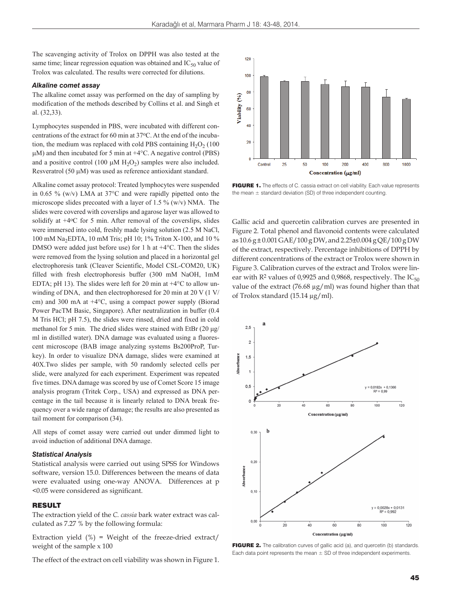The scavenging activity of Trolox on DPPH was also tested at the same time; linear regression equation was obtained and  $IC_{50}$  value of Trolox was calculated. The results were corrected for dilutions.

#### *Alkaline comet assay*

The alkaline comet assay was performed on the day of sampling by modification of the methods described by Collins et al. and Singh et al. (32,33).

Lymphocytes suspended in PBS, were incubated with different concentrations of the extract for 60 min at 37oC. At the end of the incubation, the medium was replaced with cold PBS containing  $H_2O_2$  (100)  $\mu$ M) and then incubated for 5 min at +4 $\rm{°C}$ . A negative control (PBS) and a positive control (100  $\mu$ M H<sub>2</sub>O<sub>2</sub>) samples were also included. Resveratrol (50  $\mu$ M) was used as reference antioxidant standard.

Alkaline comet assay protocol: Treated lymphocytes were suspended in 0.65 % (w/v) LMA at 37°C and were rapidly pipetted onto the microscope slides precoated with a layer of 1.5 %  $(w/v)$  NMA. The slides were covered with coverslips and agarose layer was allowed to solidify at  $+4$ <sup>o</sup>C for 5 min. After removal of the coverslips, slides were immersed into cold, freshly made lysing solution (2.5 M NaCl, 100 mM Na2EDTA, 10 mM Tris; pH 10; 1% Triton X-100, and 10 % DMSO were added just before use) for 1 h at +4°C. Then the slides were removed from the lysing solution and placed in a horizontal gel electrophoresis tank (Cleaver Scientific, Model CSL-COM20, UK) filled with fresh electrophoresis buffer (300 mM NaOH, 1mM EDTA; pH 13). The slides were left for 20 min at  $+4^{\circ}$ C to allow unwinding of DNA, and then electrophoresed for 20 min at 20 V (1 V/ cm) and 300 mA at +4°C, using a compact power supply (Biorad Power PacTM Basic, Singapore). After neutralization in buffer (0.4 M Tris HCl; pH 7.5), the slides were rinsed, dried and fixed in cold methanol for 5 min. The dried slides were stained with EtBr (20 μg/ ml in distilled water). DNA damage was evaluated using a fluorescent microscope (BAB image analyzing systems Bs200ProP, Turkey). In order to visualize DNA damage, slides were examined at 40X.Two slides per sample, with 50 randomly selected cells per slide, were analyzed for each experiment. Experiment was repeated five times. DNA damage was scored by use of Comet Score 15 image analysis program (Tritek Corp., USA) and expressed as DNA percentage in the tail because it is linearly related to DNA break frequency over a wide range of damage; the results are also presented as tail moment for comparison (34).

All steps of comet assay were carried out under dimmed light to avoid induction of additional DNA damage.

#### *Statistical Analysis*

Statistical analysis were carried out using SPSS for Windows software, version 15.0. Differences between the means of data were evaluated using one-way ANOVA. Differences at p <0.05 were considered as significant.

### **RESULT**

The extraction yield of the *C. cassia* bark water extract was calculated as 7.27 % by the following formula:

Extraction yield  $(\%)$  = Weight of the freeze-dried extract/ weight of the sample x 100

The effect of the extract on cell viability was shown in Figure 1.



**FIGURE 1.** The effects of C. cassia extract on cell viability. Each value represents the mean  $\pm$  standard deviation (SD) of three independent counting.

Gallic acid and quercetin calibration curves are presented in Figure 2. Total phenol and flavonoid contents were calculated as 10.6 g ± 0.001 GAE/100 g DW, and 2.25±0.004 g QE/100 g DW of the extract, respectively. Percentage inhibitions of DPPH by different concentrations of the extract or Trolox were shown in Figure 3. Calibration curves of the extract and Trolox were linear with  $R^2$  values of 0,9925 and 0,9868, respectively. The  $IC_{50}$ value of the extract (76.68 μg/ml) was found higher than that of Trolox standard (15.14 μg/ml).



**FIGURE 2.** The calibration curves of gallic acid (a), and quercetin (b) standards. Each data point represents the mean  $\pm$  SD of three independent experiments.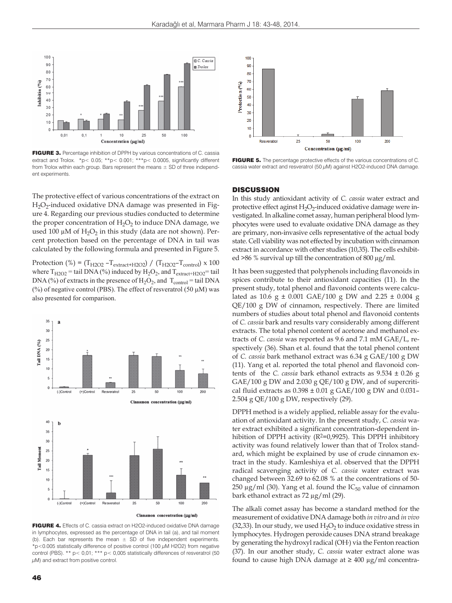

**FIGURE 3.** Percentage inhibition of DPPH by various concentrations of C. cassia extract and Trolox.  $*p < 0.05$ ;  $*p < 0.001$ ;  $**p < 0.0005$ , significantly different from Trolox within each group. Bars represent the means  $\pm$  SD of three independent experiments.

The protective effect of various concentrations of the extract on H<sub>2</sub>O<sub>2</sub>-induced oxidative DNA damage was presented in Figure 4. Regarding our previous studies conducted to determine the proper concentration of  $H_2O_2$  to induce DNA damage, we used 100  $\mu$ M of H<sub>2</sub>O<sub>2</sub> in this study (data are not shown). Percent protection based on the percentage of DNA in tail was calculated by the following formula and presented in Figure 5.

Protection (%) =  $(T_{H2O2} - T_{\text{extract+H2O2}}) / (T_{H2O2} - T_{\text{control}}) \times 100$ where  $T_{H2O2}$  = tail DNA (%) induced by  $H_2O_2$ , and  $T_{\text{extract+H2O2}}$  = tail DNA (%) of extracts in the presence of  $H_2O_2$ , and  $T_{control} = \text{tail DNA}$ (%) of negative control (PBS). The effect of resveratrol (50  $\mu$ M) was also presented for comparison.



FIGURE 4. Effects of C. cassia extract on H2O2-induced oxidative DNA damage in lymphocytes, expressed as the percentage of DNA in tail (a), and tail moment (b). Each bar represents the mean  $\pm$  SD of five independent experiments.  $*p$ <0.005 statistically difference of positive control (100  $\mu$ M H2O2) from negative control (PBS). \*\* p< 0,01; \*\*\* p< 0,005 statistically differences of resveratrol (50  $\mu$ M) and extract from positive control.



FIGURE 5. The percentage protective effects of the various concentrations of C. cassia water extract and resveratrol (50 μM) against H2O2-induced DNA damage.

#### **DISCUSSION**

In this study antioxidant activity of *C. cassia* water extract and protective effect aginst  $H_2O_2$ -induced oxidative damage were investigated. In alkaline comet assay, human peripheral blood lymphocytes were used to evaluate oxidative DNA damage as they are primary, non-invasive cells representative of the actual body state. Cell viability was not effected by incubation with cinnamon extract in accordance with other studies (10,35). The cells exhibited >86 % survival up till the concentration of 800 μg/ml.

It has been suggested that polyphenols including flavonoids in spices contribute to their antioxidant capacities (11). In the present study, total phenol and flavonoid contents were calculated as 10.6 g  $\pm$  0.001 GAE/100 g DW and 2.25  $\pm$  0.004 g QE/100 g DW of cinnamon, respectively. There are limited numbers of studies about total phenol and flavonoid contents of *C. cassia* bark and results vary considerably among different extracts. The total phenol content of acetone and methanol extracts of *C. cassia* was reported as 9.6 and 7.1 mM GAE/L, respectively (36). Shan et al. found that the total phenol content of *C. cassia* bark methanol extract was 6.34 g GAE/100 g DW (11). Yang et al. reported the total phenol and flavonoid contents of the *C. cassia* bark ethanol extracts as 9.534 ± 0.26 g GAE/100 g DW and 2.030 g QE/100 g DW, and of supercritical fluid extracts as  $0.398 \pm 0.01$  g GAE/100 g DW and  $0.031$ -2.504 g QE/100 g DW, respectively (29).

DPPH method is a widely applied, reliable assay for the evaluation of antioxidant activity. In the present study, *C. cassia* water extract exhibited a significant concentration-dependent inhibition of DPPH activity  $(R^2=0.9925)$ . This DPPH inhibitory activity was found relatively lower than that of Trolox standard, which might be explained by use of crude cinnamon extract in the study. Kamleshiya et al. observed that the DPPH radical scavenging activity of *C. cassia* water extract was changed between 32.69 to 62.08 % at the concentrations of 50- 250 μg/ml (30). Yang et al. found the  $IC_{50}$  value of cinnamon bark ethanol extract as 72 μg/ml (29).

The alkali comet assay has become a standard method for the measurement of oxidative DNA damage both *in vitro* and *in vivo* (32,33). In our study, we used  $H_2O_2$  to induce oxidative stress in lymphocytes. Hydrogen peroxide causes DNA strand breakage by generating the hydroxyl radical (OH**.** ) via the Fenton reaction (37). In our another study, *C*. *cassia* water extract alone was found to cause high DNA damage at  $\geq 400 \mu g/ml$  concentra-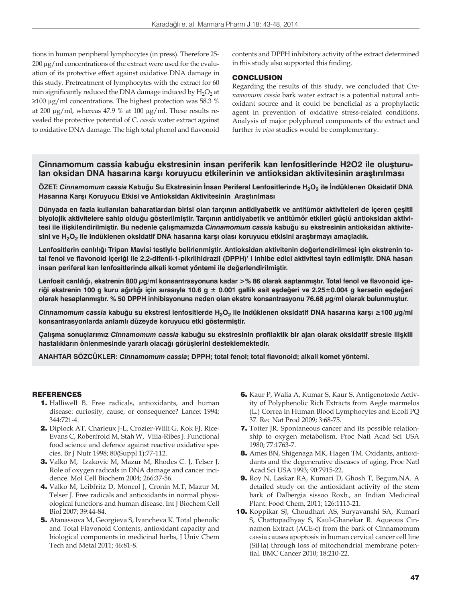tions in human peripheral lymphocytes (in press). Therefore 25- 200 μg/ml concentrations of the extract were used for the evaluation of its protective effect against oxidative DNA damage in this study. Pretreatment of lymphocytes with the extract for 60 min significantly reduced the DNA damage induced by  $H_2O_2$  at ≥100 μg/ml concentrations. The highest protection was 58.3 % at 200 μg/ml, whereas 47.9 % at 100 μg/ml. These results revealed the protective potential of C*. cassia* water extract against to oxidative DNA damage. The high total phenol and flavonoid

contents and DPPH inhibitory activity of the extract determined in this study also supported this finding.

### CONCLUSION

Regarding the results of this study, we concluded that *Cinnamomum cassia* bark water extract is a potential natural antioxidant source and it could be beneficial as a prophylactic agent in prevention of oxidative stress-related conditions. Analysis of major polyphenol components of the extract and further *in vivo* studies would be complementary.

## **Cinnamomum cassia kabuğu ekstresinin insan periferik kan lenfositlerinde H2O2 ile oluşturulan oksidan DNA hasarına karşı koruyucu etkilerinin ve antioksidan aktivitesinin araştırılması**

**ÖZET:** *Cinnamomum cassia* **Kabuğu Su Ekstresinin İnsan Periferal Lenfositlerinde H2O2 ile İndüklenen Oksidatif DNA Hasarına Karşı Koruyucu Etkisi ve Antioksidan Aktivitesinin Araştırılması**

**Dünyada en fazla kullanılan baharatlardan birisi olan tarçının antidiyabetik ve antitümör aktiviteleri de içeren çeşitli biyolojik aktivitelere sahip olduğu gösterilmiştir. Tarçının antidiyabetik ve antitümör etkileri güçlü antioksidan aktivitesi ile ilişkilendirilmiştir. Bu nedenle çalışmamızda** *Cinnamomum cassia* **kabuğu su ekstresinin antioksidan aktivitesini ve H2O2 ile indüklenen oksidatif DNA hasarına karşı olası koruyucu etkisini araştırmayı amaçladık.**

**Lenfositlerin canlılığı Tripan Mavisi testiyle belirlenmiştir. Antioksidan aktivitenin değerlendirilmesi için ekstrenin total fenol ve flavonoid içeriği ile 2,2-difenil-1-pikrilhidrazil (DPPH)' i inhibe edici aktivitesi tayin edilmiştir. DNA hasarı insan periferal kan lenfositlerinde alkali komet yöntemi ile değerlendirilmiştir.**

**Lenfosit canlılığı, ekstrenin 800 μg/ml konsantrasyonuna kadar >% 86 olarak saptanmıştır. Total fenol ve flavonoid içe**riği ekstrenin 100 g kuru ağırlığı için sırasıyla 10.6 g ± 0.001 gallik asit eşdeğeri ve 2.25±0.004 g kersetin eşdeğeri **olarak hesaplanmıştır. % 50 DPPH inhibisyonuna neden olan ekstre konsantrasyonu 76.68 μg/ml olarak bulunmuştur.** 

*Cinnamomum cassia* **kabuğu su ekstresi lenfositlerde H2O2 ile indüklenen oksidatif DNA hasarına karşı ≥100 μg/ml konsantrasyonlarda anlamlı düzeyde koruyucu etki göstermiştir.** 

**Çalışma sonuçlarımız** *Cinnamomum cassia* **kabuğu su ekstresinin profilaktik bir ajan olarak oksidatif stresle ilişkili hastalıkların önlenmesinde yararlı olacağı görüşlerini desteklemektedir.** 

**ANAHTAR SÖZCÜKLER:** *Cinnamomum cassia***; DPPH; total fenol; total flavonoid; alkali komet yöntemi.**

### REFERENCES

- 1. Halliwell B. Free radicals, antioxidants, and human disease: curiosity, cause, or consequence? Lancet 1994; 344:721-4.
- 2. Diplock AT, Charleux J-L, Crozier-Willi G, Kok FJ, Rice-Evans C, Roberfroid M, Stah W, Viiia-Ribes J. Functional food science and defence against reactive oxidative species. Br J Nutr 1998; 80(Suppl 1):77-112.
- 3. Valko M, Izakovic M, Mazur M, Rhodes C. J, Telser J. Role of oxygen radicals in DNA damage and cancer incidence. Mol Cell Biochem 2004; 266:37-56.
- 4. Valko M, Leibfritz D, Moncol J, Cronin M.T, Mazur M, Telser J. Free radicals and antioxidants in normal physiological functions and human disease. Int J Biochem Cell Biol 2007; 39:44-84.
- 5. Atanassova M, Georgieva S, Ivancheva K. Total phenolic and Total Flavonoid Contents, antioxidant capacity and biological components in medicinal herbs, J Univ Chem Tech and Metal 2011; 46:81-8.
- 6. Kaur P, Walia A, Kumar S, Kaur S. Antigenotoxic Activity of Polyphenolic Rich Extracts from Aegle marmelos (L.) Correa in Human Blood Lymphocytes and E.coli PQ 37. Rec Nat Prod 2009; 3:68-75.
- 7. Totter JR. Spontaneous cancer and its possible relationship to oxygen metabolism. Proc Natl Acad Sci USA 1980; 77:1763-7.
- 8. Ames BN, Shigenaga MK, Hagen TM. Oxidants, antioxidants and the degenerative diseases of aging. Proc Natl Acad Sci USA 1993; 90:7915-22.
- 9. Roy N, Laskar RA, Kumari D, Ghosh T, Begum,NA. A detailed study on the antioxidant activity of the stem bark of Dalbergia sissoo Roxb., an Indian Medicinal Plant. Food Chem, 2011; 126:1115-21.
- 10. Koppikar SJ, Choudhari AS, Suryavanshi SA, Kumari S, Chattopadhyay S, Kaul-Ghanekar R. Aqueous Cinnamon Extract (ACE-c) from the bark of Cinnamomum cassia causes apoptosis in human cervical cancer cell line (SiHa) through loss of mitochondrial membrane potential. BMC Cancer 2010; 18:210-22.